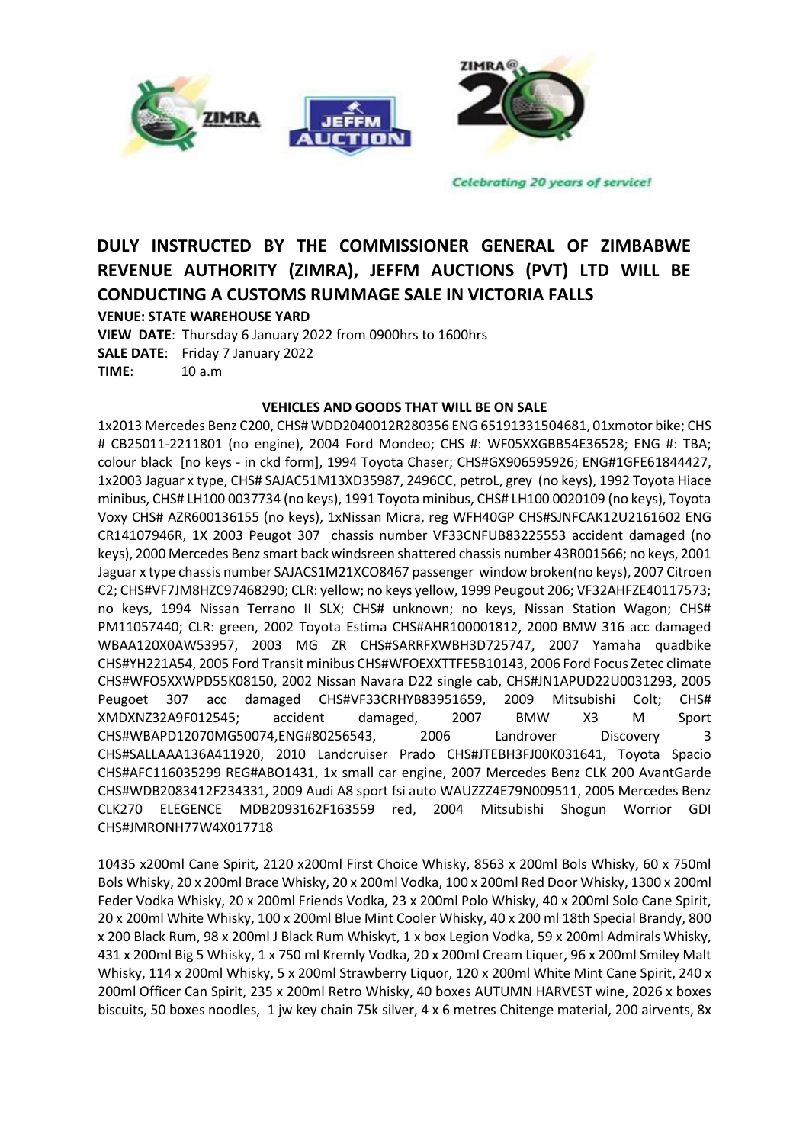

**Celebrating 20 years of service!** 

## **DULY INSTRUCTED BY THE COMMISSIONER GENERAL OF ZIMBABWE REVENUE AUTHORITY (ZIMRA), JEFFM AUCTIONS (PVT) LTD WILL BE CONDUCTING A CUSTOMS RUMMAGE SALE IN VICTORIA FALLS**

**VENUE: STATE WAREHOUSE YARD**

**VIEW DATE**: Thursday 6 January 2022 from 0900hrs to 1600hrs **SALE DATE**: Friday 7 January 2022 **TIME**: 10 a.m

## **VEHICLES AND GOODS THAT WILL BE ON SALE**

1x2013 Mercedes Benz C200, CHS# WDD2040012R280356 ENG 65191331504681, 01xmotor bike; CHS # CB25011-2211801 (no engine), 2004 Ford Mondeo; CHS #: WF05XXGBB54E36528; ENG #: TBA; colour black [no keys - in ckd form], 1994 Toyota Chaser; CHS#GX906595926; ENG#1GFE61844427, 1x2003 Jaguar x type, CHS# SAJAC51M13XD35987, 2496CC, petroL, grey (no keys), 1992 Toyota Hiace minibus, CHS# LH100 0037734 (no keys), 1991 Toyota minibus, CHS# LH100 0020109 (no keys), Toyota Voxy CHS# AZR600136155 (no keys), 1xNissan Micra, reg WFH40GP CHS#SJNFCAK12U2161602 ENG CR14107946R, 1X 2003 Peugot 307 chassis number VF33CNFUB83225553 accident damaged (no keys), 2000 Mercedes Benz smart back windsreen shattered chassis number 43R001566; no keys, 2001 Jaguar x type chassis number SAJACS1M21XCO8467 passenger window broken(no keys), 2007 Citroen C2; CHS#VF7JM8HZC97468290; CLR: yellow; no keys yellow, 1999 Peugout 206; VF32AHFZE40117573; no keys, 1994 Nissan Terrano II SLX; CHS# unknown; no keys, Nissan Station Wagon; CHS# PM11057440; CLR: green, 2002 Toyota Estima CHS#AHR100001812, 2000 BMW 316 acc damaged WBAA120X0AW53957, 2003 MG ZR CHS#SARRFXWBH3D725747, 2007 Yamaha quadbike CHS#YH221A54, 2005 Ford Transit minibus CHS#WFOEXXTTFE5B10143, 2006 Ford Focus Zetec climate CHS#WFO5XXWPD55K08150, 2002 Nissan Navara D22 single cab, CHS#JN1APUD22U0031293, 2005 Peugoet 307 acc damaged CHS#VF33CRHYB83951659, 2009 Mitsubishi Colt; CHS# XMDXNZ32A9F012545; accident damaged, 2007 BMW X3 M Sport CHS#WBAPD12070MG50074,ENG#80256543, 2006 Landrover Discovery 3 CHS#SALLAAA136A411920, 2010 Landcruiser Prado CHS#JTEBH3FJ00K031641, Toyota Spacio CHS#AFC116035299 REG#ABO1431, 1x small car engine, 2007 Mercedes Benz CLK 200 AvantGarde CHS#WDB2083412F234331, 2009 Audi A8 sport fsi auto WAUZZZ4E79N009511, 2005 Mercedes Benz CLK270 ELEGENCE MDB2093162F163559 red, 2004 Mitsubishi Shogun Worrior GDI CHS#JMRONH77W4X017718

10435 x200ml Cane Spirit, 2120 x200ml First Choice Whisky, 8563 x 200ml Bols Whisky, 60 x 750ml Bols Whisky, 20 x 200ml Brace Whisky, 20 x 200ml Vodka, 100 x 200ml Red Door Whisky, 1300 x 200ml Feder Vodka Whisky, 20 x 200ml Friends Vodka, 23 x 200ml Polo Whisky, 40 x 200ml Solo Cane Spirit, 20 x 200ml White Whisky, 100 x 200ml Blue Mint Cooler Whisky, 40 x 200 ml 18th Special Brandy, 800 x 200 Black Rum, 98 x 200ml J Black Rum Whiskyt, 1 x box Legion Vodka, 59 x 200ml Admirals Whisky, 431 x 200ml Big 5 Whisky, 1 x 750 ml Kremly Vodka, 20 x 200ml Cream Liquer, 96 x 200ml Smiley Malt Whisky, 114 x 200ml Whisky, 5 x 200ml Strawberry Liquor, 120 x 200ml White Mint Cane Spirit, 240 x 200ml Officer Can Spirit, 235 x 200ml Retro Whisky, 40 boxes AUTUMN HARVEST wine, 2026 x boxes biscuits, 50 boxes noodles, 1 jw key chain 75k silver, 4 x 6 metres Chitenge material, 200 airvents, 8x